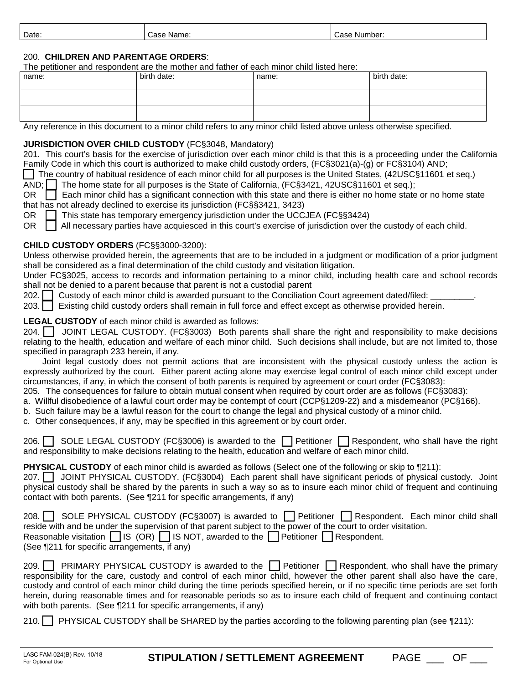| Date:<br>-<br>Case Number:<br>Case Name: |  |
|------------------------------------------|--|
|------------------------------------------|--|

## 200. **CHILDREN AND PARENTAGE ORDERS**:

The petitioner and respondent are the mother and father of each minor child listed here:

| name: | birth date: | name: | birth date: |
|-------|-------------|-------|-------------|
|       |             |       |             |
|       |             |       |             |

Any reference in this document to a minor child refers to any minor child listed above unless otherwise specified.

## **JURISDICTION OVER CHILD CUSTODY** (FC§3048, Mandatory)

201. This court's basis for the exercise of jurisdiction over each minor child is that this is a proceeding under the California Family Code in which this court is authorized to make child custody orders, (FC§3021(a)-(g) or FC§3104) AND;

 The country of habitual residence of each minor child for all purposes is the United States, (42USC§11601 et seq.)  $\overline{AND}$ ;  $\Box$  The home state for all purposes is the State of California, (FC§3421, 42USC§11601 et seq.);

OR  $\Box$  Each minor child has a significant connection with this state and there is either no home state or no home state that has not already declined to exercise its jurisdiction (FC§§3421, 3423)

OR **This state has temporary emergency jurisdiction under the UCCJEA (FC§§3424)**<br>OR All necessary parties have acquiesced in this court's exercise of jurisdiction over t

All necessary parties have acquiesced in this court's exercise of jurisdiction over the custody of each child.

## **CHILD CUSTODY ORDERS** (FC§§3000-3200):

Unless otherwise provided herein, the agreements that are to be included in a judgment or modification of a prior judgment shall be considered as a final determination of the child custody and visitation litigation.

Under FC§3025, access to records and information pertaining to a minor child, including health care and school records shall not be denied to a parent because that parent is not a custodial parent

202. **I** Custody of each minor child is awarded pursuant to the Conciliation Court agreement dated/filed:

203. Existing child custody orders shall remain in full force and effect except as otherwise provided herein.

## **LEGAL CUSTODY** of each minor child is awarded as follows:

204. **I** JOINT LEGAL CUSTODY. (FC§3003) Both parents shall share the right and responsibility to make decisions relating to the health, education and welfare of each minor child. Such decisions shall include, but are not limited to, those specified in paragraph 233 herein, if any.

 Joint legal custody does not permit actions that are inconsistent with the physical custody unless the action is expressly authorized by the court. Either parent acting alone may exercise legal control of each minor child except under circumstances, if any, in which the consent of both parents is required by agreement or court order (FC§3083):

205. The consequences for failure to obtain mutual consent when required by court order are as follows (FC§3083):

a. Willful disobedience of a lawful court order may be contempt of court (CCP§1209-22) and a misdemeanor (PC§166).

b. Such failure may be a lawful reason for the court to change the legal and physical custody of a minor child.

c. Other consequences, if any, may be specified in this agreement or by court order.

206. igno-SOLE LEGAL CUSTODY (FC§3006) is awarded to the **□** Petitioner □ Respondent, who shall have the right and responsibility to make decisions relating to the health, education and welfare of each minor child.

**PHYSICAL CUSTODY** of each minor child is awarded as follows (Select one of the following or skip to ¶211):

207. JOINT PHYSICAL CUSTODY. (FC§3004) Each parent shall have significant periods of physical custody. Joint physical custody shall be shared by the parents in such a way so as to insure each minor child of frequent and continuing contact with both parents. (See ¶211 for specific arrangements, if any)

| 208.   SOLE PHYSICAL CUSTODY (FC§3007) is awarded to   Petitioner   Respondent. Each minor child shall         |
|----------------------------------------------------------------------------------------------------------------|
| reside with and be under the supervision of that parent subject to the power of the court to order visitation. |
| Reasonable visitation $\Box$ IS (OR) $\Box$ IS NOT, awarded to the $\Box$ Petitioner $\Box$ Respondent.        |
| (See ¶211 for specific arrangements, if any)                                                                   |

209. **PRIMARY PHYSICAL CUSTODY** is awarded to the **Petitioner Respondent**, who shall have the primary responsibility for the care, custody and control of each minor child, however the other parent shall also have the care, custody and control of each minor child during the time periods specified herein, or if no specific time periods are set forth herein, during reasonable times and for reasonable periods so as to insure each child of frequent and continuing contact with both parents. (See ¶211 for specific arrangements, if any)

210. PHYSICAL CUSTODY shall be SHARED by the parties according to the following parenting plan (see ¶211):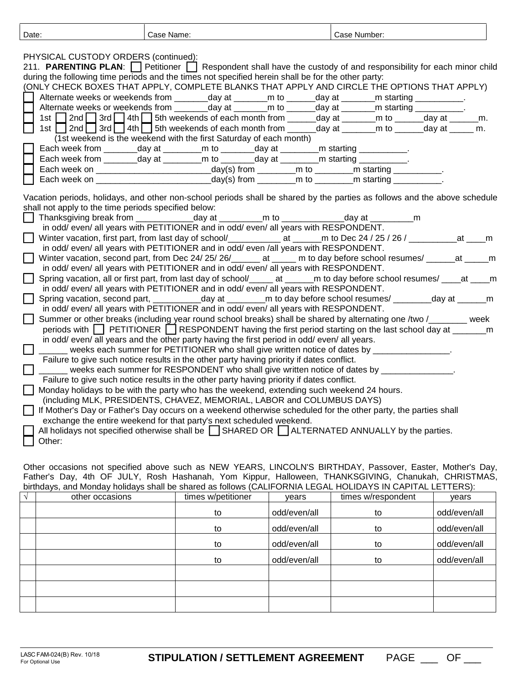| Date:                                                | Case Name:                                                                                                                                                                                                                                                                                                                                                                                                                                                                                                                                                                                                                                                                                                                                                                                                                                                                                                                                                                                                                                                                                                               | Case Number: |
|------------------------------------------------------|--------------------------------------------------------------------------------------------------------------------------------------------------------------------------------------------------------------------------------------------------------------------------------------------------------------------------------------------------------------------------------------------------------------------------------------------------------------------------------------------------------------------------------------------------------------------------------------------------------------------------------------------------------------------------------------------------------------------------------------------------------------------------------------------------------------------------------------------------------------------------------------------------------------------------------------------------------------------------------------------------------------------------------------------------------------------------------------------------------------------------|--------------|
| PHYSICAL CUSTODY ORDERS (continued):                 | 211. PARENTING PLAN: Petitioner Respondent shall have the custody of and responsibility for each minor child<br>during the following time periods and the times not specified herein shall be for the other party:<br>(ONLY CHECK BOXES THAT APPLY, COMPLETE BLANKS THAT APPLY AND CIRCLE THE OPTIONS THAT APPLY)<br>Alternate weeks or weekends from ________day at ________m to ______day at _______m starting ___________.<br>Alternate weeks or weekends from _______day at _______m to ______day at ______m starting __________.<br>1st $\Box$ 2nd $\Box$ 3rd $\Box$ 4th $\Box$ 5th weekends of each month from _____day at ______m to _____day at ______m.<br>1st 2nd 3rd 4th 5th weekends of each month from day at m to day at m.<br>(1st weekend is the weekend with the first Saturday of each month)<br>Each week from ________day at _________m to ________day at ________m starting ___________.<br>Each week from ________day at _________m to ________day at ________m starting ___________.<br>Each week on __________________________________day(s) from __________m to __________m starting __________ |              |
|                                                      |                                                                                                                                                                                                                                                                                                                                                                                                                                                                                                                                                                                                                                                                                                                                                                                                                                                                                                                                                                                                                                                                                                                          |              |
| shall not apply to the time periods specified below: | Vacation periods, holidays, and other non-school periods shall be shared by the parties as follows and the above schedule<br>Thanksgiving break from ______________day at ____________m to _______________day at _____________m<br>in odd/ even/ all years with PETITIONER and in odd/ even/ all years with RESPONDENT.<br>Winter vacation, first part, from last day of school/______________ at ______m to Dec 24 / 25 / 26 / ____________at ____m                                                                                                                                                                                                                                                                                                                                                                                                                                                                                                                                                                                                                                                                     |              |
|                                                      | in odd/ even/ all years with PETITIONER and in odd/ even /all years with RESPONDENT.<br>Winter vacation, second part, from Dec 24/ 25/ 26/______ at _____ m to day before school resumes/ _____at _____m                                                                                                                                                                                                                                                                                                                                                                                                                                                                                                                                                                                                                                                                                                                                                                                                                                                                                                                 |              |
|                                                      | in odd/ even/ all years with PETITIONER and in odd/ even/ all years with RESPONDENT.<br>Spring vacation, all or first part, from last day of school/_____ at _____ m to day before school resumes/ ____at ____ m                                                                                                                                                                                                                                                                                                                                                                                                                                                                                                                                                                                                                                                                                                                                                                                                                                                                                                         |              |
|                                                      | in odd/ even/ all years with PETITIONER and in odd/ even/ all years with RESPONDENT.<br>Spring vacation, second part, ___________day at __________m to day before school resumes/ ________day at _______m<br>in odd/ even/ all years with PETITIONER and in odd/ even/ all years with RESPONDENT.                                                                                                                                                                                                                                                                                                                                                                                                                                                                                                                                                                                                                                                                                                                                                                                                                        |              |
|                                                      | Summer or other breaks (including year round school breaks) shall be shared by alternating one /two /<br>periods with <b>T</b> PETITIONER <b>T</b> RESPONDENT having the first period starting on the last school day at _________m<br>in odd/even/ all years and the other party having the first period in odd/even/ all years.                                                                                                                                                                                                                                                                                                                                                                                                                                                                                                                                                                                                                                                                                                                                                                                        |              |
|                                                      | ______ weeks each summer for PETITIONER who shall give written notice of dates by _______________.<br>Failure to give such notice results in the other party having priority if dates conflict.                                                                                                                                                                                                                                                                                                                                                                                                                                                                                                                                                                                                                                                                                                                                                                                                                                                                                                                          |              |
|                                                      | ______ weeks each summer for RESPONDENT who shall give written notice of dates by _______________.<br>Failure to give such notice results in the other party having priority if dates conflict.<br>Monday holidays to be with the party who has the weekend, extending such weekend 24 hours.                                                                                                                                                                                                                                                                                                                                                                                                                                                                                                                                                                                                                                                                                                                                                                                                                            |              |
|                                                      | (including MLK, PRESIDENTS, CHAVEZ, MEMORIAL, LABOR and COLUMBUS DAYS)<br>If Mother's Day or Father's Day occurs on a weekend otherwise scheduled for the other party, the parties shall<br>exchange the entire weekend for that party's next scheduled weekend.                                                                                                                                                                                                                                                                                                                                                                                                                                                                                                                                                                                                                                                                                                                                                                                                                                                         |              |
| Other:                                               | All holidays not specified otherwise shall be $\Box$ SHARED OR $\Box$ ALTERNATED ANNUALLY by the parties.                                                                                                                                                                                                                                                                                                                                                                                                                                                                                                                                                                                                                                                                                                                                                                                                                                                                                                                                                                                                                |              |

Other occasions not specified above such as NEW YEARS, LINCOLN'S BIRTHDAY, Passover, Easter, Mother's Day, Father's Day, 4th OF JULY, Rosh Hashanah, Yom Kippur, Halloween, THANKSGIVING, Chanukah, CHRISTMAS, birthdays, and Monday holidays shall be shared as follows (CALIFORNIA LEGAL HOLIDAYS IN CAPITAL LETTERS):

| $\mathcal{N}$ | other occasions | times w/petitioner | vears        | times w/respondent | vears        |
|---------------|-----------------|--------------------|--------------|--------------------|--------------|
|               |                 | to                 | odd/even/all | to                 | odd/even/all |
|               |                 | to                 | odd/even/all | to                 | odd/even/all |
|               |                 | to                 | odd/even/all | to                 | odd/even/all |
|               |                 | to                 | odd/even/all | to                 | odd/even/all |
|               |                 |                    |              |                    |              |
|               |                 |                    |              |                    |              |
|               |                 |                    |              |                    |              |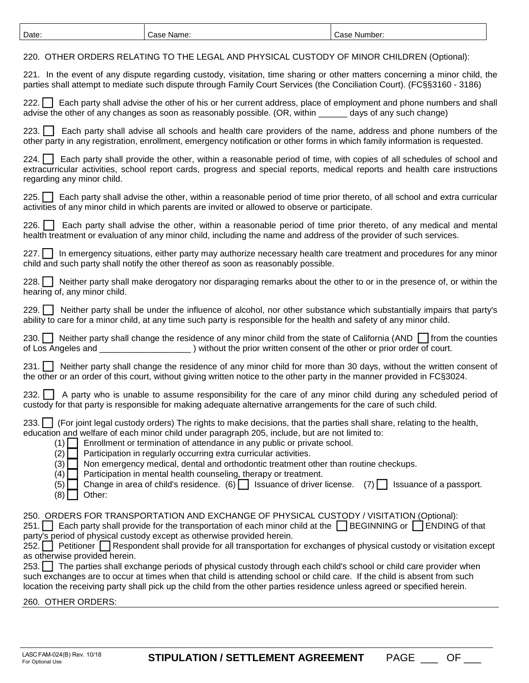| Date:                                                                       | Case Name:                                                                                                                                                                                                                                                                                                                                                                                                                                                                                                                                                                                                                                                                                                                                                                                 | Case Number:            |
|-----------------------------------------------------------------------------|--------------------------------------------------------------------------------------------------------------------------------------------------------------------------------------------------------------------------------------------------------------------------------------------------------------------------------------------------------------------------------------------------------------------------------------------------------------------------------------------------------------------------------------------------------------------------------------------------------------------------------------------------------------------------------------------------------------------------------------------------------------------------------------------|-------------------------|
|                                                                             | 220. OTHER ORDERS RELATING TO THE LEGAL AND PHYSICAL CUSTODY OF MINOR CHILDREN (Optional):                                                                                                                                                                                                                                                                                                                                                                                                                                                                                                                                                                                                                                                                                                 |                         |
|                                                                             | 221. In the event of any dispute regarding custody, visitation, time sharing or other matters concerning a minor child, the<br>parties shall attempt to mediate such dispute through Family Court Services (the Conciliation Court). (FC§§3160 - 3186)                                                                                                                                                                                                                                                                                                                                                                                                                                                                                                                                     |                         |
| 222.1                                                                       | Each party shall advise the other of his or her current address, place of employment and phone numbers and shall<br>advise the other of any changes as soon as reasonably possible. (OR, within ______ days of any such change)                                                                                                                                                                                                                                                                                                                                                                                                                                                                                                                                                            |                         |
| $223.$                                                                      | Each party shall advise all schools and health care providers of the name, address and phone numbers of the<br>other party in any registration, enrollment, emergency notification or other forms in which family information is requested.                                                                                                                                                                                                                                                                                                                                                                                                                                                                                                                                                |                         |
| 224.<br>regarding any minor child.                                          | Each party shall provide the other, within a reasonable period of time, with copies of all schedules of school and<br>extracurricular activities, school report cards, progress and special reports, medical reports and health care instructions                                                                                                                                                                                                                                                                                                                                                                                                                                                                                                                                          |                         |
| 225.                                                                        | Each party shall advise the other, within a reasonable period of time prior thereto, of all school and extra curricular<br>activities of any minor child in which parents are invited or allowed to observe or participate.                                                                                                                                                                                                                                                                                                                                                                                                                                                                                                                                                                |                         |
| $226.$                                                                      | Each party shall advise the other, within a reasonable period of time prior thereto, of any medical and mental<br>health treatment or evaluation of any minor child, including the name and address of the provider of such services.                                                                                                                                                                                                                                                                                                                                                                                                                                                                                                                                                      |                         |
| 227.                                                                        | In emergency situations, either party may authorize necessary health care treatment and procedures for any minor<br>child and such party shall notify the other thereof as soon as reasonably possible.                                                                                                                                                                                                                                                                                                                                                                                                                                                                                                                                                                                    |                         |
| 228.<br>hearing of, any minor child.                                        | Neither party shall make derogatory nor disparaging remarks about the other to or in the presence of, or within the                                                                                                                                                                                                                                                                                                                                                                                                                                                                                                                                                                                                                                                                        |                         |
| 229.                                                                        | Neither party shall be under the influence of alcohol, nor other substance which substantially impairs that party's<br>ability to care for a minor child, at any time such party is responsible for the health and safety of any minor child.                                                                                                                                                                                                                                                                                                                                                                                                                                                                                                                                              |                         |
| 230.                                                                        | Neither party shall change the residence of any minor child from the state of California (AND $\Box$ from the counties                                                                                                                                                                                                                                                                                                                                                                                                                                                                                                                                                                                                                                                                     |                         |
| 231.                                                                        | Neither party shall change the residence of any minor child for more than 30 days, without the written consent of<br>the other or an order of this court, without giving written notice to the other party in the manner provided in FC§3024.                                                                                                                                                                                                                                                                                                                                                                                                                                                                                                                                              |                         |
| 232.                                                                        | A party who is unable to assume responsibility for the care of any minor child during any scheduled period of<br>custody for that party is responsible for making adequate alternative arrangements for the care of such child.                                                                                                                                                                                                                                                                                                                                                                                                                                                                                                                                                            |                         |
| 233.<br>(1)<br>(2)<br>(3)<br>(4)<br>(5)<br>(8)<br>Other:                    | (For joint legal custody orders) The rights to make decisions, that the parties shall share, relating to the health,<br>education and welfare of each minor child under paragraph 205, include, but are not limited to:<br>Enrollment or termination of attendance in any public or private school.<br>Participation in regularly occurring extra curricular activities.<br>Non emergency medical, dental and orthodontic treatment other than routine checkups.<br>Participation in mental health counseling, therapy or treatment.<br>Change in area of child's residence. (6) $\Box$ Issuance of driver license. (7) $\Box$                                                                                                                                                             | Issuance of a passport. |
| 251.<br>252.<br>as otherwise provided herein.<br>253.<br>260. OTHER ORDERS: | 250. ORDERS FOR TRANSPORTATION AND EXCHANGE OF PHYSICAL CUSTODY / VISITATION (Optional):<br>Each party shall provide for the transportation of each minor child at the $\Box$ BEGINNING or $\Box$ ENDING of that<br>party's period of physical custody except as otherwise provided herein.<br>Petitioner Respondent shall provide for all transportation for exchanges of physical custody or visitation except<br>The parties shall exchange periods of physical custody through each child's school or child care provider when<br>such exchanges are to occur at times when that child is attending school or child care. If the child is absent from such<br>location the receiving party shall pick up the child from the other parties residence unless agreed or specified herein. |                         |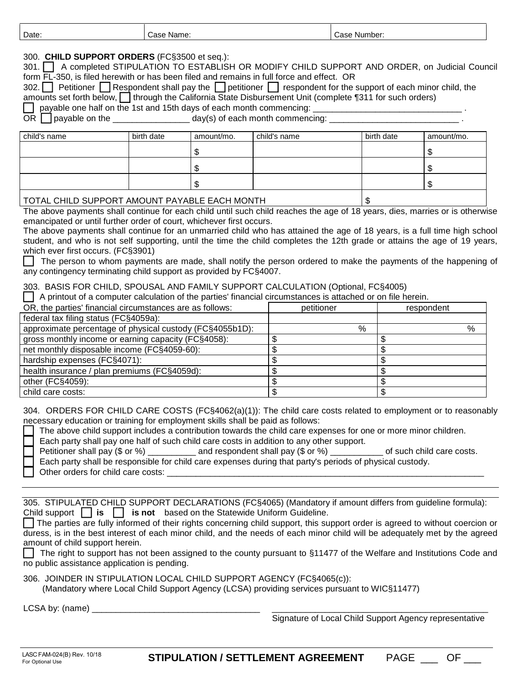| Date:                                                                                                                                                                                                                                                                                                                                                                                                                                                                                                                                                                                                                                                                                                                                                                                                                                           |  | Case Name: |            |  |              | Case Number: |            |            |
|-------------------------------------------------------------------------------------------------------------------------------------------------------------------------------------------------------------------------------------------------------------------------------------------------------------------------------------------------------------------------------------------------------------------------------------------------------------------------------------------------------------------------------------------------------------------------------------------------------------------------------------------------------------------------------------------------------------------------------------------------------------------------------------------------------------------------------------------------|--|------------|------------|--|--------------|--------------|------------|------------|
| 300. CHILD SUPPORT ORDERS (FC§3500 et seq.):<br>301.     A completed STIPULATION TO ESTABLISH OR MODIFY CHILD SUPPORT AND ORDER, on Judicial Council<br>form FL-350, is filed herewith or has been filed and remains in full force and effect. OR<br>Petitioner   Respondent shall pay the   petitioner   respondent for the support of each minor child, the<br>$302.$    <br>amounts set forth below,     through the California State Disbursement Unit (complete ¶311 for such orders)<br>payable one half on the 1st and 15th days of each month commencing:<br>OR<br>payable on the __________________________day(s) of each month commencing:                                                                                                                                                                                            |  |            |            |  |              |              |            |            |
| child's name                                                                                                                                                                                                                                                                                                                                                                                                                                                                                                                                                                                                                                                                                                                                                                                                                                    |  | birth date | amount/mo. |  | child's name |              | birth date | amount/mo. |
|                                                                                                                                                                                                                                                                                                                                                                                                                                                                                                                                                                                                                                                                                                                                                                                                                                                 |  |            |            |  |              |              |            |            |
|                                                                                                                                                                                                                                                                                                                                                                                                                                                                                                                                                                                                                                                                                                                                                                                                                                                 |  |            | \$         |  |              |              |            | \$         |
|                                                                                                                                                                                                                                                                                                                                                                                                                                                                                                                                                                                                                                                                                                                                                                                                                                                 |  |            | \$         |  |              |              |            | \$         |
|                                                                                                                                                                                                                                                                                                                                                                                                                                                                                                                                                                                                                                                                                                                                                                                                                                                 |  |            | \$         |  |              |              |            | \$         |
| TOTAL CHILD SUPPORT AMOUNT PAYABLE EACH MONTH                                                                                                                                                                                                                                                                                                                                                                                                                                                                                                                                                                                                                                                                                                                                                                                                   |  |            |            |  |              |              |            |            |
| The above payments shall continue for each child until such child reaches the age of 18 years, dies, marries or is otherwise                                                                                                                                                                                                                                                                                                                                                                                                                                                                                                                                                                                                                                                                                                                    |  |            |            |  |              | \$           |            |            |
| student, and who is not self supporting, until the time the child completes the 12th grade or attains the age of 19 years,<br>which ever first occurs. (FC§3901)<br>The person to whom payments are made, shall notify the person ordered to make the payments of the happening of<br>any contingency terminating child support as provided by FC§4007.<br>303. BASIS FOR CHILD, SPOUSAL AND FAMILY SUPPORT CALCULATION (Optional, FC§4005)                                                                                                                                                                                                                                                                                                                                                                                                     |  |            |            |  |              |              |            |            |
| A printout of a computer calculation of the parties' financial circumstances is attached or on file herein.                                                                                                                                                                                                                                                                                                                                                                                                                                                                                                                                                                                                                                                                                                                                     |  |            |            |  |              |              |            |            |
| OR, the parties' financial circumstances are as follows:                                                                                                                                                                                                                                                                                                                                                                                                                                                                                                                                                                                                                                                                                                                                                                                        |  |            |            |  | petitioner   |              |            | respondent |
| federal tax filing status (FC§4059a):                                                                                                                                                                                                                                                                                                                                                                                                                                                                                                                                                                                                                                                                                                                                                                                                           |  |            |            |  |              |              |            | $\%$       |
| approximate percentage of physical custody (FC§4055b1D):<br>%<br>gross monthly income or earning capacity (FC§4058):<br>\$<br>\$                                                                                                                                                                                                                                                                                                                                                                                                                                                                                                                                                                                                                                                                                                                |  |            |            |  |              |              |            |            |
| net monthly disposable income (FC§4059-60):                                                                                                                                                                                                                                                                                                                                                                                                                                                                                                                                                                                                                                                                                                                                                                                                     |  |            | \$         |  | \$           |              |            |            |
| hardship expenses (FC§4071):                                                                                                                                                                                                                                                                                                                                                                                                                                                                                                                                                                                                                                                                                                                                                                                                                    |  |            | \$         |  | \$           |              |            |            |
| health insurance / plan premiums (FC§4059d):                                                                                                                                                                                                                                                                                                                                                                                                                                                                                                                                                                                                                                                                                                                                                                                                    |  |            | \$<br>\$   |  |              |              |            |            |
| other (FC§4059):                                                                                                                                                                                                                                                                                                                                                                                                                                                                                                                                                                                                                                                                                                                                                                                                                                |  |            | \$         |  | \$           |              |            |            |
| child care costs:                                                                                                                                                                                                                                                                                                                                                                                                                                                                                                                                                                                                                                                                                                                                                                                                                               |  |            | \$         |  | \$           |              |            |            |
| 304. ORDERS FOR CHILD CARE COSTS (FC§4062(a)(1)): The child care costs related to employment or to reasonably<br>necessary education or training for employment skills shall be paid as follows:<br>The above child support includes a contribution towards the child care expenses for one or more minor children.<br>Each party shall pay one half of such child care costs in addition to any other support.<br>Petitioner shall pay (\$ or %) __________ and respondent shall pay (\$ or %) _________ of such child care costs.<br>Each party shall be responsible for child care expenses during that party's periods of physical custody.                                                                                                                                                                                                 |  |            |            |  |              |              |            |            |
| 305. STIPULATED CHILD SUPPORT DECLARATIONS (FC§4065) (Mandatory if amount differs from guideline formula):<br>Child support $\Box$ is $\Box$ is not based on the Statewide Uniform Guideline.<br>The parties are fully informed of their rights concerning child support, this support order is agreed to without coercion or<br>duress, is in the best interest of each minor child, and the needs of each minor child will be adequately met by the agreed<br>amount of child support herein.<br>The right to support has not been assigned to the county pursuant to §11477 of the Welfare and Institutions Code and<br>no public assistance application is pending.<br>306. JOINDER IN STIPULATION LOCAL CHILD SUPPORT AGENCY (FC§4065(c)):<br>(Mandatory where Local Child Support Agency (LCSA) providing services pursuant to WIC§11477) |  |            |            |  |              |              |            |            |
| LCSA by: (name)                                                                                                                                                                                                                                                                                                                                                                                                                                                                                                                                                                                                                                                                                                                                                                                                                                 |  |            |            |  |              |              |            |            |

Signature of Local Child Support Agency representative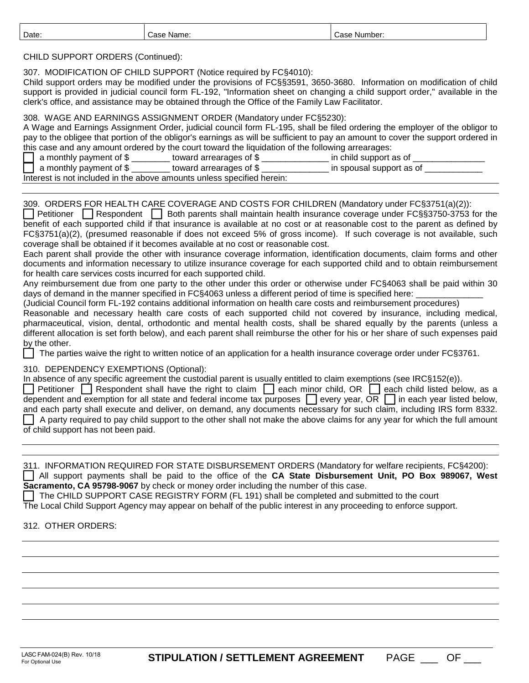| Date:                                                                                                                                                                                                                                                                                                                                                                                                                                                                                                                                                                                                                                                                                                                                                                                                                                                                                                                                                                                                                                                                                                                                                                                                                                                                                                                                                                                                                                                                                                                                                                                                                                                                                                                                                                                                                                                                                                                                                                                                                                                                                                                                                                                                                                                                                                                                                                                                                                                                                                                                                                                                                                                                                                         | Case Name: | Case Number: |  |  |
|---------------------------------------------------------------------------------------------------------------------------------------------------------------------------------------------------------------------------------------------------------------------------------------------------------------------------------------------------------------------------------------------------------------------------------------------------------------------------------------------------------------------------------------------------------------------------------------------------------------------------------------------------------------------------------------------------------------------------------------------------------------------------------------------------------------------------------------------------------------------------------------------------------------------------------------------------------------------------------------------------------------------------------------------------------------------------------------------------------------------------------------------------------------------------------------------------------------------------------------------------------------------------------------------------------------------------------------------------------------------------------------------------------------------------------------------------------------------------------------------------------------------------------------------------------------------------------------------------------------------------------------------------------------------------------------------------------------------------------------------------------------------------------------------------------------------------------------------------------------------------------------------------------------------------------------------------------------------------------------------------------------------------------------------------------------------------------------------------------------------------------------------------------------------------------------------------------------------------------------------------------------------------------------------------------------------------------------------------------------------------------------------------------------------------------------------------------------------------------------------------------------------------------------------------------------------------------------------------------------------------------------------------------------------------------------------------------------|------------|--------------|--|--|
| CHILD SUPPORT ORDERS (Continued):<br>307. MODIFICATION OF CHILD SUPPORT (Notice required by FC§4010):<br>Child support orders may be modified under the provisions of FC§§3591, 3650-3680. Information on modification of child<br>support is provided in judicial council form FL-192, "Information sheet on changing a child support order," available in the<br>clerk's office, and assistance may be obtained through the Office of the Family Law Facilitator.<br>308. WAGE AND EARNINGS ASSIGNMENT ORDER (Mandatory under FC§5230):<br>A Wage and Earnings Assignment Order, judicial council form FL-195, shall be filed ordering the employer of the obligor to<br>pay to the obligee that portion of the obligor's earnings as will be sufficient to pay an amount to cover the support ordered in<br>this case and any amount ordered by the court toward the liquidation of the following arrearages:<br>a monthly payment of \$ ________ toward arrearages of \$ _____________ in child support as of ____________                                                                                                                                                                                                                                                                                                                                                                                                                                                                                                                                                                                                                                                                                                                                                                                                                                                                                                                                                                                                                                                                                                                                                                                                                                                                                                                                                                                                                                                                                                                                                                                                                                                                                |            |              |  |  |
|                                                                                                                                                                                                                                                                                                                                                                                                                                                                                                                                                                                                                                                                                                                                                                                                                                                                                                                                                                                                                                                                                                                                                                                                                                                                                                                                                                                                                                                                                                                                                                                                                                                                                                                                                                                                                                                                                                                                                                                                                                                                                                                                                                                                                                                                                                                                                                                                                                                                                                                                                                                                                                                                                                               |            |              |  |  |
| $\Box$ a monthly payment of $\frac{1}{2}$ subsetspace of s and arrearages of $\frac{1}{2}$ and $\frac{1}{2}$ in spousal support as of $\frac{1}{2}$<br>Interest is not included in the above amounts unless specified herein:<br>309. ORDERS FOR HEALTH CARE COVERAGE AND COSTS FOR CHILDREN (Mandatory under FC§3751(a)(2)):<br>Petitioner Respondent Both parents shall maintain health insurance coverage under FC§§3750-3753 for the<br>benefit of each supported child if that insurance is available at no cost or at reasonable cost to the parent as defined by<br>FC§3751(a)(2), (presumed reasonable if does not exceed 5% of gross income). If such coverage is not available, such<br>coverage shall be obtained if it becomes available at no cost or reasonable cost.<br>Each parent shall provide the other with insurance coverage information, identification documents, claim forms and other<br>documents and information necessary to utilize insurance coverage for each supported child and to obtain reimbursement<br>for health care services costs incurred for each supported child.<br>Any reimbursement due from one party to the other under this order or otherwise under FC§4063 shall be paid within 30<br>days of demand in the manner specified in FC§4063 unless a different period of time is specified here: _______<br>(Judicial Council form FL-192 contains additional information on health care costs and reimbursement procedures)<br>Reasonable and necessary health care costs of each supported child not covered by insurance, including medical,<br>pharmaceutical, vision, dental, orthodontic and mental health costs, shall be shared equally by the parents (unless a<br>different allocation is set forth below), and each parent shall reimburse the other for his or her share of such expenses paid<br>by the other.<br>The parties waive the right to written notice of an application for a health insurance coverage order under FC§3761.<br>310. DEPENDENCY EXEMPTIONS (Optional):<br>In absence of any specific agreement the custodial parent is usually entitled to claim exemptions (see IRC§152(e)).<br>Petitioner Respondent shall have the right to claim each minor child, OR each child listed below, as a<br>dependent and exemption for all state and federal income tax purposes $\Box$ every year, OR $\Box$ in each year listed below,<br>and each party shall execute and deliver, on demand, any documents necessary for such claim, including IRS form 8332.<br>A party required to pay child support to the other shall not make the above claims for any year for which the full amount<br>of child support has not been paid. |            |              |  |  |
| 311. INFORMATION REQUIRED FOR STATE DISBURSEMENT ORDERS (Mandatory for welfare recipients, FC§4200):<br>All support payments shall be paid to the office of the CA State Disbursement Unit, PO Box 989067, West<br>Sacramento, CA 95798-9067 by check or money order including the number of this case.<br>The CHILD SUPPORT CASE REGISTRY FORM (FL 191) shall be completed and submitted to the court<br>The Local Child Support Agency may appear on behalf of the public interest in any proceeding to enforce support.                                                                                                                                                                                                                                                                                                                                                                                                                                                                                                                                                                                                                                                                                                                                                                                                                                                                                                                                                                                                                                                                                                                                                                                                                                                                                                                                                                                                                                                                                                                                                                                                                                                                                                                                                                                                                                                                                                                                                                                                                                                                                                                                                                                    |            |              |  |  |
| 312. OTHER ORDERS:                                                                                                                                                                                                                                                                                                                                                                                                                                                                                                                                                                                                                                                                                                                                                                                                                                                                                                                                                                                                                                                                                                                                                                                                                                                                                                                                                                                                                                                                                                                                                                                                                                                                                                                                                                                                                                                                                                                                                                                                                                                                                                                                                                                                                                                                                                                                                                                                                                                                                                                                                                                                                                                                                            |            |              |  |  |
|                                                                                                                                                                                                                                                                                                                                                                                                                                                                                                                                                                                                                                                                                                                                                                                                                                                                                                                                                                                                                                                                                                                                                                                                                                                                                                                                                                                                                                                                                                                                                                                                                                                                                                                                                                                                                                                                                                                                                                                                                                                                                                                                                                                                                                                                                                                                                                                                                                                                                                                                                                                                                                                                                                               |            |              |  |  |